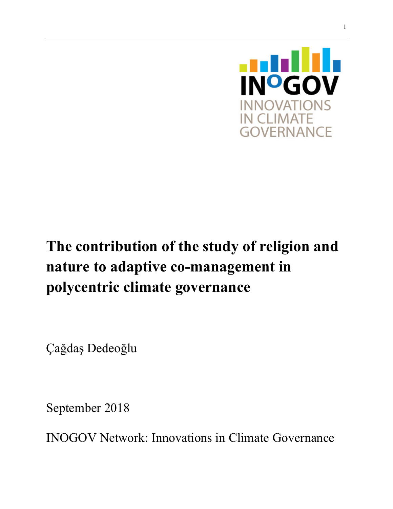

# **The contribution of the study of religion and nature to adaptive co-management in polycentric climate governance**

Çağdaş Dedeoğlu

September 2018

INOGOV Network: Innovations in Climate Governance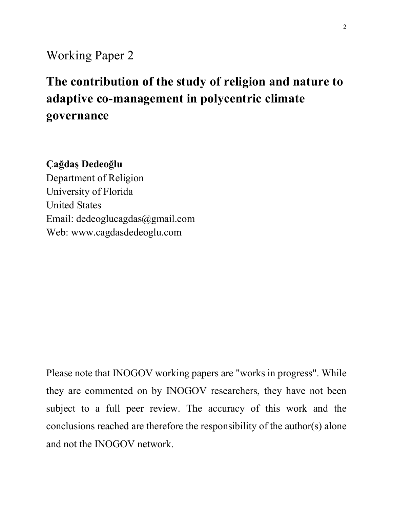## Working Paper 2

## **The contribution of the study of religion and nature to adaptive co-management in polycentric climate governance**

## **Çağdaş Dedeoğlu**

Department of Religion University of Florida United States Email: dedeoglucagdas@gmail.com Web: www.cagdasdedeoglu.com

Please note that INOGOV working papers are "works in progress". While they are commented on by INOGOV researchers, they have not been subject to a full peer review. The accuracy of this work and the conclusions reached are therefore the responsibility of the author(s) alone and not the INOGOV network.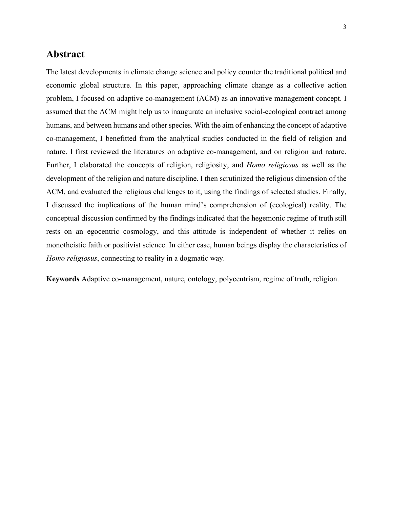## **Abstract**

The latest developments in climate change science and policy counter the traditional political and economic global structure. In this paper, approaching climate change as a collective action problem, I focused on adaptive co-management (ACM) as an innovative management concept. I assumed that the ACM might help us to inaugurate an inclusive social-ecological contract among humans, and between humans and other species. With the aim of enhancing the concept of adaptive co-management, I benefitted from the analytical studies conducted in the field of religion and nature. I first reviewed the literatures on adaptive co-management, and on religion and nature. Further, I elaborated the concepts of religion, religiosity, and *Homo religiosus* as well as the development of the religion and nature discipline. I then scrutinized the religious dimension of the ACM, and evaluated the religious challenges to it, using the findings of selected studies. Finally, I discussed the implications of the human mind's comprehension of (ecological) reality. The conceptual discussion confirmed by the findings indicated that the hegemonic regime of truth still rests on an egocentric cosmology, and this attitude is independent of whether it relies on monotheistic faith or positivist science. In either case, human beings display the characteristics of *Homo religiosus*, connecting to reality in a dogmatic way.

**Keywords** Adaptive co-management, nature, ontology, polycentrism, regime of truth, religion.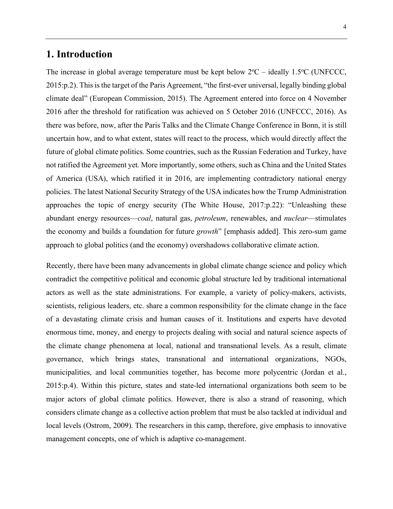## **1. Introduction**

The increase in global average temperature must be kept below  $2^{\circ}C$  – ideally 1.5<sup>o</sup>C (UNFCCC, 2015:p.2). Thisis the target of the Paris Agreement, "the first-ever universal, legally binding global climate deal" (European Commission, 2015). The Agreement entered into force on 4 November 2016 after the threshold for ratification was achieved on 5 October 2016 (UNFCCC, 2016). As there was before, now, after the Paris Talks and the Climate Change Conference in Bonn, it is still uncertain how, and to what extent, states will react to the process, which would directly affect the future of global climate politics. Some countries, such as the Russian Federation and Turkey, have not ratified the Agreement yet. More importantly, some others, such as China and the United States of America (USA), which ratified it in 2016, are implementing contradictory national energy policies. The latest National Security Strategy of the USA indicates how the Trump Administration approaches the topic of energy security (The White House, 2017:p.22): "Unleashing these abundant energy resources—*coal*, natural gas, *petroleum*, renewables, and *nuclear*—stimulates the economy and builds a foundation for future *growth*" [emphasis added]. This zero-sum game approach to global politics (and the economy) overshadows collaborative climate action.

Recently, there have been many advancements in global climate change science and policy which contradict the competitive political and economic global structure led by traditional international actors as well as the state administrations. For example, a variety of policy-makers, activists, scientists, religious leaders, etc. share a common responsibility for the climate change in the face of a devastating climate crisis and human causes of it. Institutions and experts have devoted enormous time, money, and energy to projects dealing with social and natural science aspects of the climate change phenomena at local, national and transnational levels. As a result, climate governance, which brings states, transnational and international organizations, NGOs, municipalities, and local communities together, has become more polycentric (Jordan et al., 2015:p.4). Within this picture, states and state-led international organizations both seem to be major actors of global climate politics. However, there is also a strand of reasoning, which considers climate change as a collective action problem that must be also tackled at individual and local levels (Ostrom, 2009). The researchers in this camp, therefore, give emphasis to innovative management concepts, one of which is adaptive co-management.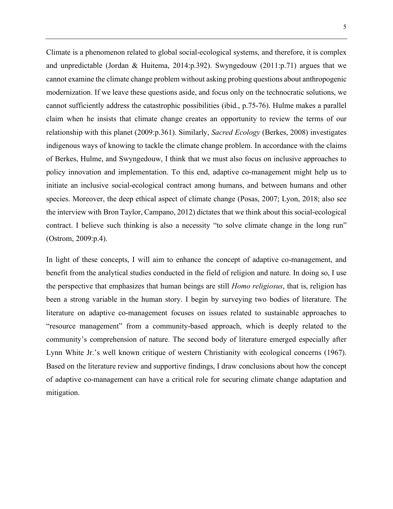Climate is a phenomenon related to global social-ecological systems, and therefore, it is complex and unpredictable (Jordan & Huitema, 2014:p.392). Swyngedouw (2011:p.71) argues that we cannot examine the climate change problem without asking probing questions about anthropogenic modernization. If we leave these questions aside, and focus only on the technocratic solutions, we cannot sufficiently address the catastrophic possibilities (ibid., p.75-76). Hulme makes a parallel claim when he insists that climate change creates an opportunity to review the terms of our relationship with this planet (2009:p.361). Similarly, *Sacred Ecology* (Berkes, 2008) investigates indigenous ways of knowing to tackle the climate change problem. In accordance with the claims of Berkes, Hulme, and Swyngedouw, I think that we must also focus on inclusive approaches to policy innovation and implementation. To this end, adaptive co-management might help us to initiate an inclusive social-ecological contract among humans, and between humans and other species. Moreover, the deep ethical aspect of climate change (Posas, 2007; Lyon, 2018; also see the interview with Bron Taylor, Campano, 2012) dictates that we think about this social-ecological contract. I believe such thinking is also a necessity "to solve climate change in the long run" (Ostrom, 2009:p.4).

In light of these concepts, I will aim to enhance the concept of adaptive co-management, and benefit from the analytical studies conducted in the field of religion and nature. In doing so, I use the perspective that emphasizes that human beings are still *Homo religiosus*, that is, religion has been a strong variable in the human story. I begin by surveying two bodies of literature. The literature on adaptive co-management focuses on issues related to sustainable approaches to "resource management" from a community-based approach, which is deeply related to the community's comprehension of nature. The second body of literature emerged especially after Lynn White Jr.'s well known critique of western Christianity with ecological concerns (1967). Based on the literature review and supportive findings, I draw conclusions about how the concept of adaptive co-management can have a critical role for securing climate change adaptation and mitigation.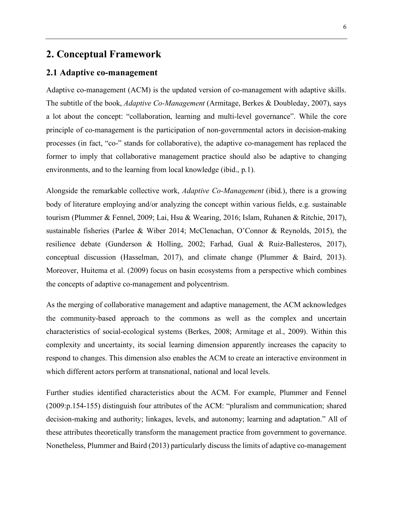## **2. Conceptual Framework**

#### **2.1 Adaptive co-management**

Adaptive co-management (ACM) is the updated version of co-management with adaptive skills. The subtitle of the book, *Adaptive Co-Management* (Armitage, Berkes & Doubleday, 2007), says a lot about the concept: "collaboration, learning and multi-level governance". While the core principle of co-management is the participation of non-governmental actors in decision-making processes (in fact, "co-" stands for collaborative), the adaptive co-management has replaced the former to imply that collaborative management practice should also be adaptive to changing environments, and to the learning from local knowledge (ibid., p.1).

Alongside the remarkable collective work, *Adaptive Co-Management* (ibid.), there is a growing body of literature employing and/or analyzing the concept within various fields, e.g. sustainable tourism (Plummer & Fennel, 2009; Lai, Hsu & Wearing, 2016; Islam, Ruhanen & Ritchie, 2017), sustainable fisheries (Parlee & Wiber 2014; McClenachan, O'Connor & Reynolds, 2015), the resilience debate (Gunderson & Holling, 2002; Farhad, Gual & Ruiz-Ballesteros, 2017), conceptual discussion (Hasselman, 2017), and climate change (Plummer & Baird, 2013). Moreover, Huitema et al. (2009) focus on basin ecosystems from a perspective which combines the concepts of adaptive co-management and polycentrism.

As the merging of collaborative management and adaptive management, the ACM acknowledges the community-based approach to the commons as well as the complex and uncertain characteristics of social-ecological systems (Berkes, 2008; Armitage et al., 2009). Within this complexity and uncertainty, its social learning dimension apparently increases the capacity to respond to changes. This dimension also enables the ACM to create an interactive environment in which different actors perform at transnational, national and local levels.

Further studies identified characteristics about the ACM. For example, Plummer and Fennel (2009:p.154-155) distinguish four attributes of the ACM: "pluralism and communication; shared decision-making and authority; linkages, levels, and autonomy; learning and adaptation." All of these attributes theoretically transform the management practice from government to governance. Nonetheless, Plummer and Baird (2013) particularly discuss the limits of adaptive co-management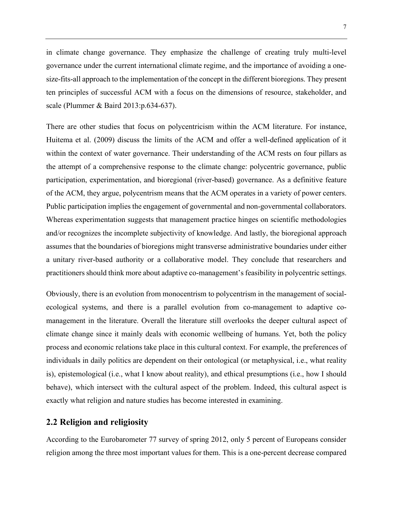in climate change governance. They emphasize the challenge of creating truly multi-level governance under the current international climate regime, and the importance of avoiding a onesize-fits-all approach to the implementation of the concept in the different bioregions. They present ten principles of successful ACM with a focus on the dimensions of resource, stakeholder, and scale (Plummer & Baird 2013:p.634-637).

There are other studies that focus on polycentricism within the ACM literature. For instance, Huitema et al. (2009) discuss the limits of the ACM and offer a well-defined application of it within the context of water governance. Their understanding of the ACM rests on four pillars as the attempt of a comprehensive response to the climate change: polycentric governance, public participation, experimentation, and bioregional (river-based) governance. As a definitive feature of the ACM, they argue, polycentrism means that the ACM operates in a variety of power centers. Public participation implies the engagement of governmental and non-governmental collaborators. Whereas experimentation suggests that management practice hinges on scientific methodologies and/or recognizes the incomplete subjectivity of knowledge. And lastly, the bioregional approach assumes that the boundaries of bioregions might transverse administrative boundaries under either a unitary river-based authority or a collaborative model. They conclude that researchers and practitioners should think more about adaptive co-management's feasibility in polycentric settings.

Obviously, there is an evolution from monocentrism to polycentrism in the management of socialecological systems, and there is a parallel evolution from co-management to adaptive comanagement in the literature. Overall the literature still overlooks the deeper cultural aspect of climate change since it mainly deals with economic wellbeing of humans. Yet, both the policy process and economic relations take place in this cultural context. For example, the preferences of individuals in daily politics are dependent on their ontological (or metaphysical, i.e., what reality is), epistemological (i.e., what I know about reality), and ethical presumptions (i.e., how I should behave), which intersect with the cultural aspect of the problem. Indeed, this cultural aspect is exactly what religion and nature studies has become interested in examining.

### **2.2 Religion and religiosity**

According to the Eurobarometer 77 survey of spring 2012, only 5 percent of Europeans consider religion among the three most important values for them. This is a one-percent decrease compared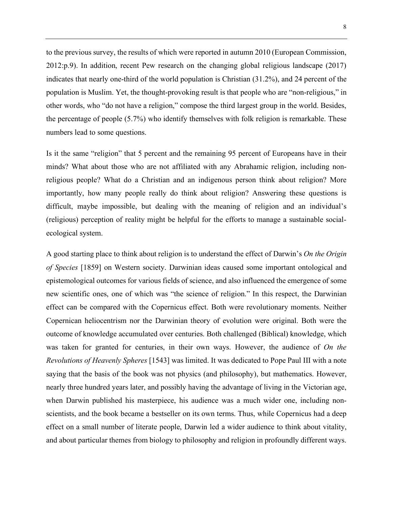to the previous survey, the results of which were reported in autumn 2010 (European Commission, 2012:p.9). In addition, recent Pew research on the changing global religious landscape (2017) indicates that nearly one-third of the world population is Christian (31.2%), and 24 percent of the population is Muslim. Yet, the thought-provoking result is that people who are "non-religious," in other words, who "do not have a religion," compose the third largest group in the world. Besides, the percentage of people (5.7%) who identify themselves with folk religion is remarkable. These numbers lead to some questions.

Is it the same "religion" that 5 percent and the remaining 95 percent of Europeans have in their minds? What about those who are not affiliated with any Abrahamic religion, including nonreligious people? What do a Christian and an indigenous person think about religion? More importantly, how many people really do think about religion? Answering these questions is difficult, maybe impossible, but dealing with the meaning of religion and an individual's (religious) perception of reality might be helpful for the efforts to manage a sustainable socialecological system.

A good starting place to think about religion is to understand the effect of Darwin's *On the Origin of Species* [1859] on Western society. Darwinian ideas caused some important ontological and epistemological outcomes for various fields of science, and also influenced the emergence of some new scientific ones, one of which was "the science of religion." In this respect, the Darwinian effect can be compared with the Copernicus effect. Both were revolutionary moments. Neither Copernican heliocentrism nor the Darwinian theory of evolution were original. Both were the outcome of knowledge accumulated over centuries. Both challenged (Biblical) knowledge, which was taken for granted for centuries, in their own ways. However, the audience of *On the Revolutions of Heavenly Spheres* [1543] was limited. It was dedicated to Pope Paul III with a note saying that the basis of the book was not physics (and philosophy), but mathematics. However, nearly three hundred years later, and possibly having the advantage of living in the Victorian age, when Darwin published his masterpiece, his audience was a much wider one, including nonscientists, and the book became a bestseller on its own terms. Thus, while Copernicus had a deep effect on a small number of literate people, Darwin led a wider audience to think about vitality, and about particular themes from biology to philosophy and religion in profoundly different ways.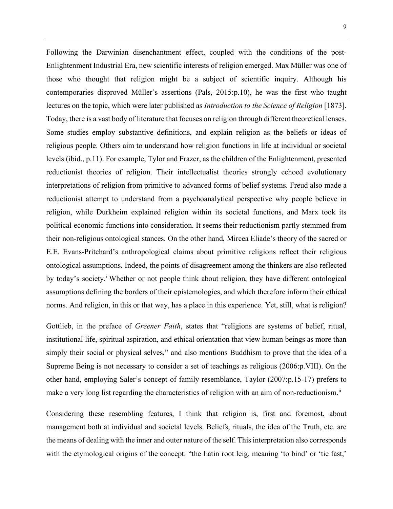Following the Darwinian disenchantment effect, coupled with the conditions of the post-Enlightenment Industrial Era, new scientific interests of religion emerged. Max Müller was one of those who thought that religion might be a subject of scientific inquiry. Although his contemporaries disproved Müller's assertions (Pals, 2015:p.10), he was the first who taught lectures on the topic, which were later published as *Introduction to the Science of Religion* [1873]. Today, there is a vast body of literature that focuses on religion through different theoretical lenses. Some studies employ substantive definitions, and explain religion as the beliefs or ideas of religious people. Others aim to understand how religion functions in life at individual or societal levels (ibid., p.11). For example, Tylor and Frazer, as the children of the Enlightenment, presented reductionist theories of religion. Their intellectualist theories strongly echoed evolutionary interpretations of religion from primitive to advanced forms of belief systems. Freud also made a reductionist attempt to understand from a psychoanalytical perspective why people believe in religion, while Durkheim explained religion within its societal functions, and Marx took its political-economic functions into consideration. It seems their reductionism partly stemmed from their non-religious ontological stances. On the other hand, Mircea Eliade's theory of the sacred or E.E. Evans-Pritchard's anthropological claims about primitive religions reflect their religious ontological assumptions. Indeed, the points of disagreement among the thinkers are also reflected by today's society.<sup>i</sup> Whether or not people think about religion, they have different ontological

assumptions defining the borders of their epistemologies, and which therefore inform their ethical norms. And religion, in this or that way, has a place in this experience. Yet, still, what is religion?

Gottlieb, in the preface of *Greener Faith*, states that "religions are systems of belief, ritual, institutional life, spiritual aspiration, and ethical orientation that view human beings as more than simply their social or physical selves," and also mentions Buddhism to prove that the idea of a Supreme Being is not necessary to consider a set of teachings as religious (2006:p.VIII). On the other hand, employing Saler's concept of family resemblance, Taylor (2007:p.15-17) prefers to make a very long list regarding the characteristics of religion with an aim of non-reductionism.<sup>ii</sup>

Considering these resembling features, I think that religion is, first and foremost, about management both at individual and societal levels. Beliefs, rituals, the idea of the Truth, etc. are the means of dealing with the inner and outer nature of the self. This interpretation also corresponds with the etymological origins of the concept: "the Latin root leig, meaning 'to bind' or 'tie fast,'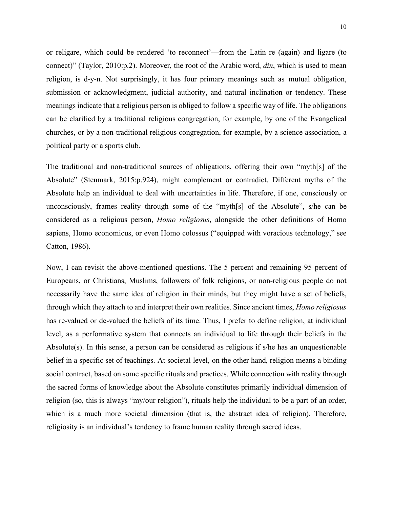or religare, which could be rendered 'to reconnect'—from the Latin re (again) and ligare (to connect)" (Taylor, 2010:p.2). Moreover, the root of the Arabic word, *din*, which is used to mean religion, is d-y-n. Not surprisingly, it has four primary meanings such as mutual obligation, submission or acknowledgment, judicial authority, and natural inclination or tendency. These meanings indicate that a religious person is obliged to follow a specific way of life. The obligations can be clarified by a traditional religious congregation, for example, by one of the Evangelical churches, or by a non-traditional religious congregation, for example, by a science association, a political party or a sports club.

The traditional and non-traditional sources of obligations, offering their own "myth[s] of the Absolute" (Stenmark, 2015:p.924), might complement or contradict. Different myths of the Absolute help an individual to deal with uncertainties in life. Therefore, if one, consciously or unconsciously, frames reality through some of the "myth[s] of the Absolute", s/he can be considered as a religious person, *Homo religiosus*, alongside the other definitions of Homo sapiens, Homo economicus, or even Homo colossus ("equipped with voracious technology," see Catton, 1986).

Now, I can revisit the above-mentioned questions. The 5 percent and remaining 95 percent of Europeans, or Christians, Muslims, followers of folk religions, or non-religious people do not necessarily have the same idea of religion in their minds, but they might have a set of beliefs, through which they attach to and interpret their own realities. Since ancient times, *Homo religiosus* has re-valued or de-valued the beliefs of its time. Thus, I prefer to define religion, at individual level, as a performative system that connects an individual to life through their beliefs in the Absolute(s). In this sense, a person can be considered as religious if s/he has an unquestionable belief in a specific set of teachings. At societal level, on the other hand, religion means a binding social contract, based on some specific rituals and practices. While connection with reality through the sacred forms of knowledge about the Absolute constitutes primarily individual dimension of religion (so, this is always "my/our religion"), rituals help the individual to be a part of an order, which is a much more societal dimension (that is, the abstract idea of religion). Therefore, religiosity is an individual's tendency to frame human reality through sacred ideas.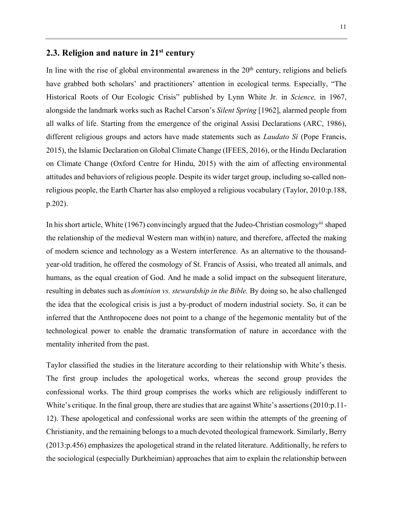### **2.3. Religion and nature in 21st century**

In line with the rise of global environmental awareness in the  $20<sup>th</sup>$  century, religions and beliefs have grabbed both scholars' and practitioners' attention in ecological terms. Especially, "The Historical Roots of Our Ecologic Crisis" published by Lynn White Jr. in *Science,* in 1967, alongside the landmark works such as Rachel Carson's *Silent Spring* [1962], alarmed people from all walks of life. Starting from the emergence of the original Assisi Declarations (ARC, 1986), different religious groups and actors have made statements such as *Laudato Si* (Pope Francis, 2015), the Islamic Declaration on Global Climate Change (IFEES, 2016), or the Hindu Declaration on Climate Change (Oxford Centre for Hindu, 2015) with the aim of affecting environmental attitudes and behaviors of religious people. Despite its wider target group, including so-called nonreligious people, the Earth Charter has also employed a religious vocabulary (Taylor, 2010:p.188, p.202).

In his short article, White (1967) convincingly argued that the Judeo-Christian cosmologyiii shaped the relationship of the medieval Western man with(in) nature, and therefore, affected the making of modern science and technology as a Western interference. As an alternative to the thousandyear-old tradition, he offered the cosmology of St. Francis of Assisi, who treated all animals, and humans, as the equal creation of God. And he made a solid impact on the subsequent literature, resulting in debates such as *dominion vs. stewardship in the Bible.* By doing so, he also challenged the idea that the ecological crisis is just a by-product of modern industrial society. So, it can be inferred that the Anthropocene does not point to a change of the hegemonic mentality but of the technological power to enable the dramatic transformation of nature in accordance with the mentality inherited from the past.

Taylor classified the studies in the literature according to their relationship with White's thesis. The first group includes the apologetical works, whereas the second group provides the confessional works. The third group comprises the works which are religiously indifferent to White's critique. In the final group, there are studies that are against White's assertions (2010: p.11-12). These apologetical and confessional works are seen within the attempts of the greening of Christianity, and the remaining belongs to a much devoted theological framework. Similarly, Berry (2013:p.456) emphasizes the apologetical strand in the related literature. Additionally, he refers to the sociological (especially Durkheimian) approaches that aim to explain the relationship between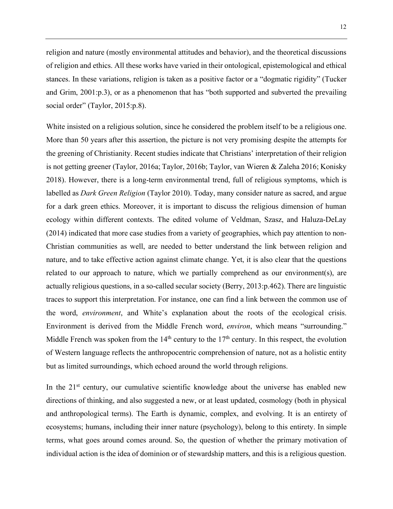religion and nature (mostly environmental attitudes and behavior), and the theoretical discussions of religion and ethics. All these works have varied in their ontological, epistemological and ethical stances. In these variations, religion is taken as a positive factor or a "dogmatic rigidity" (Tucker and Grim, 2001:p.3), or as a phenomenon that has "both supported and subverted the prevailing social order" (Taylor, 2015:p.8).

White insisted on a religious solution, since he considered the problem itself to be a religious one. More than 50 years after this assertion, the picture is not very promising despite the attempts for the greening of Christianity. Recent studies indicate that Christians' interpretation of their religion is not getting greener (Taylor, 2016a; Taylor, 2016b; Taylor, van Wieren & Zaleha 2016; Konisky 2018). However, there is a long-term environmental trend, full of religious symptoms, which is labelled as *Dark Green Religion* (Taylor 2010). Today, many consider nature as sacred, and argue for a dark green ethics. Moreover, it is important to discuss the religious dimension of human ecology within different contexts. The edited volume of Veldman, Szasz, and Haluza-DeLay (2014) indicated that more case studies from a variety of geographies, which pay attention to non-Christian communities as well, are needed to better understand the link between religion and nature, and to take effective action against climate change. Yet, it is also clear that the questions related to our approach to nature, which we partially comprehend as our environment(s), are actually religious questions, in a so-called secular society (Berry, 2013:p.462). There are linguistic traces to support this interpretation. For instance, one can find a link between the common use of the word, *environment*, and White's explanation about the roots of the ecological crisis. Environment is derived from the Middle French word, *environ*, which means "surrounding." Middle French was spoken from the  $14<sup>th</sup>$  century to the  $17<sup>th</sup>$  century. In this respect, the evolution of Western language reflects the anthropocentric comprehension of nature, not as a holistic entity but as limited surroundings, which echoed around the world through religions.

In the  $21<sup>st</sup>$  century, our cumulative scientific knowledge about the universe has enabled new directions of thinking, and also suggested a new, or at least updated, cosmology (both in physical and anthropological terms). The Earth is dynamic, complex, and evolving. It is an entirety of ecosystems; humans, including their inner nature (psychology), belong to this entirety. In simple terms, what goes around comes around. So, the question of whether the primary motivation of individual action is the idea of dominion or of stewardship matters, and this is a religious question.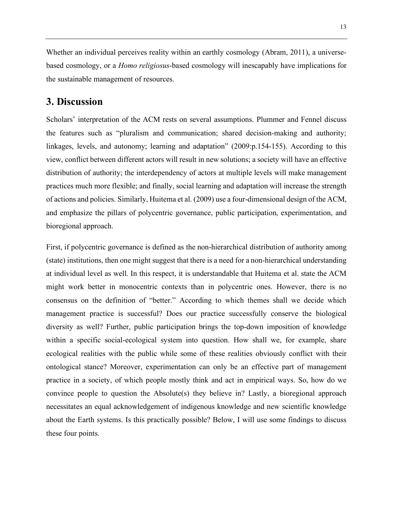Whether an individual perceives reality within an earthly cosmology (Abram, 2011), a universebased cosmology, or a *Homo religiosus*-based cosmology will inescapably have implications for the sustainable management of resources.

## **3. Discussion**

Scholars' interpretation of the ACM rests on several assumptions. Plummer and Fennel discuss the features such as "pluralism and communication; shared decision-making and authority; linkages, levels, and autonomy; learning and adaptation" (2009:p.154-155). According to this view, conflict between different actors will result in new solutions; a society will have an effective distribution of authority; the interdependency of actors at multiple levels will make management practices much more flexible; and finally, social learning and adaptation will increase the strength of actions and policies. Similarly, Huitema et al. (2009) use a four-dimensional design of the ACM, and emphasize the pillars of polycentric governance, public participation, experimentation, and bioregional approach.

First, if polycentric governance is defined as the non-hierarchical distribution of authority among (state) institutions, then one might suggest that there is a need for a non-hierarchical understanding at individual level as well. In this respect, it is understandable that Huitema et al. state the ACM might work better in monocentric contexts than in polycentric ones. However, there is no consensus on the definition of "better." According to which themes shall we decide which management practice is successful? Does our practice successfully conserve the biological diversity as well? Further, public participation brings the top-down imposition of knowledge within a specific social-ecological system into question. How shall we, for example, share ecological realities with the public while some of these realities obviously conflict with their ontological stance? Moreover, experimentation can only be an effective part of management practice in a society, of which people mostly think and act in empirical ways. So, how do we convince people to question the Absolute(s) they believe in? Lastly, a bioregional approach necessitates an equal acknowledgement of indigenous knowledge and new scientific knowledge about the Earth systems. Is this practically possible? Below, I will use some findings to discuss these four points.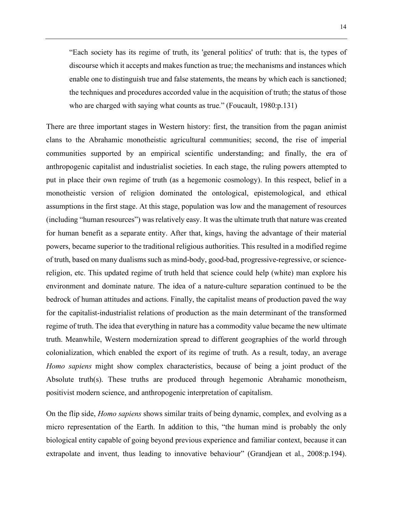"Each society has its regime of truth, its 'general politics' of truth: that is, the types of discourse which it accepts and makes function as true; the mechanisms and instances which enable one to distinguish true and false statements, the means by which each is sanctioned; the techniques and procedures accorded value in the acquisition of truth; the status of those who are charged with saying what counts as true." (Foucault, 1980:p.131)

There are three important stages in Western history: first, the transition from the pagan animist clans to the Abrahamic monotheistic agricultural communities; second, the rise of imperial communities supported by an empirical scientific understanding; and finally, the era of anthropogenic capitalist and industrialist societies. In each stage, the ruling powers attempted to put in place their own regime of truth (as a hegemonic cosmology). In this respect, belief in a monotheistic version of religion dominated the ontological, epistemological, and ethical assumptions in the first stage. At this stage, population was low and the management of resources (including "human resources") was relatively easy. It was the ultimate truth that nature was created for human benefit as a separate entity. After that, kings, having the advantage of their material powers, became superior to the traditional religious authorities. This resulted in a modified regime of truth, based on many dualisms such as mind-body, good-bad, progressive-regressive, or sciencereligion, etc. This updated regime of truth held that science could help (white) man explore his environment and dominate nature. The idea of a nature-culture separation continued to be the bedrock of human attitudes and actions. Finally, the capitalist means of production paved the way for the capitalist-industrialist relations of production as the main determinant of the transformed regime of truth. The idea that everything in nature has a commodity value became the new ultimate truth. Meanwhile, Western modernization spread to different geographies of the world through colonialization, which enabled the export of its regime of truth. As a result, today, an average *Homo sapiens* might show complex characteristics, because of being a joint product of the Absolute truth(s). These truths are produced through hegemonic Abrahamic monotheism, positivist modern science, and anthropogenic interpretation of capitalism.

On the flip side, *Homo sapiens* shows similar traits of being dynamic, complex, and evolving as a micro representation of the Earth. In addition to this, "the human mind is probably the only biological entity capable of going beyond previous experience and familiar context, because it can extrapolate and invent, thus leading to innovative behaviour" (Grandjean et al., 2008:p.194).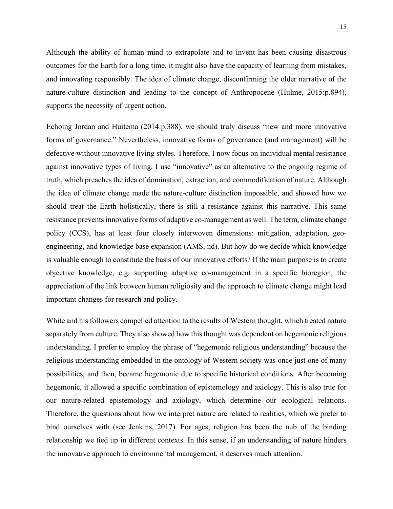Although the ability of human mind to extrapolate and to invent has been causing disastrous outcomes for the Earth for a long time, it might also have the capacity of learning from mistakes, and innovating responsibly. The idea of climate change, disconfirming the older narrative of the nature-culture distinction and leading to the concept of Anthropocene (Hulme, 2015:p.894), supports the necessity of urgent action.

Echoing Jordan and Huitema (2014:p.388), we should truly discuss "new and more innovative forms of governance." Nevertheless, innovative forms of governance (and management) will be defective without innovative living styles. Therefore, I now focus on individual mental resistance against innovative types of living. I use "innovative" as an alternative to the ongoing regime of truth, which preaches the idea of domination, extraction, and commodification of nature. Although the idea of climate change made the nature-culture distinction impossible, and showed how we should treat the Earth holistically, there is still a resistance against this narrative. This same resistance prevents innovative forms of adaptive co-management as well. The term, climate change policy (CCS), has at least four closely interwoven dimensions: mitigation, adaptation, geoengineering, and knowledge base expansion (AMS, nd). But how do we decide which knowledge is valuable enough to constitute the basis of our innovative efforts? If the main purpose is to create objective knowledge, e.g. supporting adaptive co-management in a specific bioregion, the appreciation of the link between human religiosity and the approach to climate change might lead important changes for research and policy.

White and his followers compelled attention to the results of Western thought, which treated nature separately from culture. They also showed how this thought was dependent on hegemonic religious understanding. I prefer to employ the phrase of "hegemonic religious understanding" because the religious understanding embedded in the ontology of Western society was once just one of many possibilities, and then, became hegemonic due to specific historical conditions. After becoming hegemonic, it allowed a specific combination of epistemology and axiology. This is also true for our nature-related epistemology and axiology, which determine our ecological relations. Therefore, the questions about how we interpret nature are related to realities, which we prefer to bind ourselves with (see Jenkins, 2017). For ages, religion has been the nub of the binding relationship we tied up in different contexts. In this sense, if an understanding of nature hinders the innovative approach to environmental management, it deserves much attention.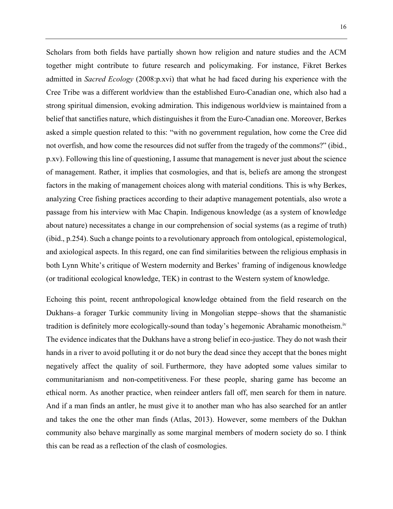Scholars from both fields have partially shown how religion and nature studies and the ACM together might contribute to future research and policymaking. For instance, Fikret Berkes admitted in *Sacred Ecology* (2008:p.xvi) that what he had faced during his experience with the Cree Tribe was a different worldview than the established Euro-Canadian one, which also had a strong spiritual dimension, evoking admiration. This indigenous worldview is maintained from a belief that sanctifies nature, which distinguishes it from the Euro-Canadian one. Moreover, Berkes asked a simple question related to this: "with no government regulation, how come the Cree did not overfish, and how come the resources did not suffer from the tragedy of the commons?" (ibid., p.xv). Following this line of questioning, I assume that management is never just about the science of management. Rather, it implies that cosmologies, and that is, beliefs are among the strongest factors in the making of management choices along with material conditions. This is why Berkes, analyzing Cree fishing practices according to their adaptive management potentials, also wrote a passage from his interview with Mac Chapin. Indigenous knowledge (as a system of knowledge about nature) necessitates a change in our comprehension of social systems (as a regime of truth) (ibid., p.254). Such a change points to a revolutionary approach from ontological, epistemological, and axiological aspects. In this regard, one can find similarities between the religious emphasis in both Lynn White's critique of Western modernity and Berkes' framing of indigenous knowledge (or traditional ecological knowledge, TEK) in contrast to the Western system of knowledge.

Echoing this point, recent anthropological knowledge obtained from the field research on the Dukhans–a forager Turkic community living in Mongolian steppe–shows that the shamanistic tradition is definitely more ecologically-sound than today's hegemonic Abrahamic monotheism.iv The evidence indicates that the Dukhans have a strong belief in eco-justice. They do not wash their hands in a river to avoid polluting it or do not bury the dead since they accept that the bones might negatively affect the quality of soil. Furthermore, they have adopted some values similar to communitarianism and non-competitiveness. For these people, sharing game has become an ethical norm. As another practice, when reindeer antlers fall off, men search for them in nature. And if a man finds an antler, he must give it to another man who has also searched for an antler and takes the one the other man finds (Atlas, 2013). However, some members of the Dukhan community also behave marginally as some marginal members of modern society do so. I think this can be read as a reflection of the clash of cosmologies.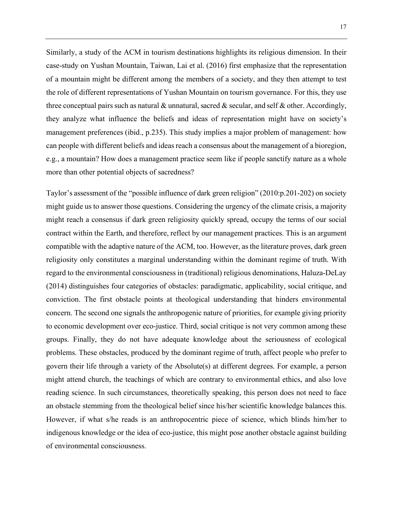Similarly, a study of the ACM in tourism destinations highlights its religious dimension. In their case-study on Yushan Mountain, Taiwan, Lai et al. (2016) first emphasize that the representation of a mountain might be different among the members of a society, and they then attempt to test the role of different representations of Yushan Mountain on tourism governance. For this, they use three conceptual pairs such as natural  $\&$  unnatural, sacred  $\&$  secular, and self  $\&$  other. Accordingly, they analyze what influence the beliefs and ideas of representation might have on society's management preferences (ibid., p.235). This study implies a major problem of management: how can people with different beliefs and ideas reach a consensus about the management of a bioregion, e.g., a mountain? How does a management practice seem like if people sanctify nature as a whole more than other potential objects of sacredness?

Taylor's assessment of the "possible influence of dark green religion" (2010:p.201-202) on society might guide us to answer those questions. Considering the urgency of the climate crisis, a majority might reach a consensus if dark green religiosity quickly spread, occupy the terms of our social contract within the Earth, and therefore, reflect by our management practices. This is an argument compatible with the adaptive nature of the ACM, too. However, as the literature proves, dark green religiosity only constitutes a marginal understanding within the dominant regime of truth. With regard to the environmental consciousness in (traditional) religious denominations, Haluza-DeLay (2014) distinguishes four categories of obstacles: paradigmatic, applicability, social critique, and conviction. The first obstacle points at theological understanding that hinders environmental concern. The second one signals the anthropogenic nature of priorities, for example giving priority to economic development over eco-justice. Third, social critique is not very common among these groups. Finally, they do not have adequate knowledge about the seriousness of ecological problems. These obstacles, produced by the dominant regime of truth, affect people who prefer to govern their life through a variety of the Absolute(s) at different degrees. For example, a person might attend church, the teachings of which are contrary to environmental ethics, and also love reading science. In such circumstances, theoretically speaking, this person does not need to face an obstacle stemming from the theological belief since his/her scientific knowledge balances this. However, if what s/he reads is an anthropocentric piece of science, which blinds him/her to indigenous knowledge or the idea of eco-justice, this might pose another obstacle against building of environmental consciousness.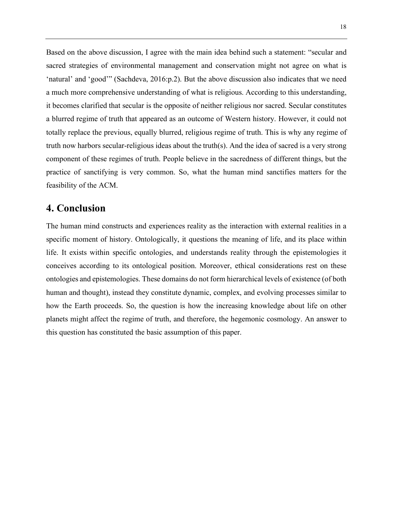Based on the above discussion, I agree with the main idea behind such a statement: "secular and sacred strategies of environmental management and conservation might not agree on what is 'natural' and 'good'" (Sachdeva, 2016:p.2). But the above discussion also indicates that we need a much more comprehensive understanding of what is religious. According to this understanding, it becomes clarified that secular is the opposite of neither religious nor sacred. Secular constitutes a blurred regime of truth that appeared as an outcome of Western history. However, it could not totally replace the previous, equally blurred, religious regime of truth. This is why any regime of truth now harbors secular-religious ideas about the truth(s). And the idea of sacred is a very strong component of these regimes of truth. People believe in the sacredness of different things, but the practice of sanctifying is very common. So, what the human mind sanctifies matters for the feasibility of the ACM.

## **4. Conclusion**

The human mind constructs and experiences reality as the interaction with external realities in a specific moment of history. Ontologically, it questions the meaning of life, and its place within life. It exists within specific ontologies, and understands reality through the epistemologies it conceives according to its ontological position. Moreover, ethical considerations rest on these ontologies and epistemologies. These domains do not form hierarchical levels of existence (of both human and thought), instead they constitute dynamic, complex, and evolving processes similar to how the Earth proceeds. So, the question is how the increasing knowledge about life on other planets might affect the regime of truth, and therefore, the hegemonic cosmology. An answer to this question has constituted the basic assumption of this paper.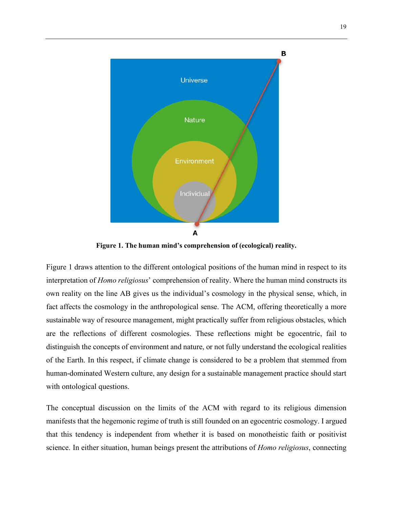

**Figure 1. The human mind's comprehension of (ecological) reality.** 

Figure 1 draws attention to the different ontological positions of the human mind in respect to its interpretation of *Homo religiosus*' comprehension of reality. Where the human mind constructs its own reality on the line AB gives us the individual's cosmology in the physical sense, which, in fact affects the cosmology in the anthropological sense. The ACM, offering theoretically a more sustainable way of resource management, might practically suffer from religious obstacles, which are the reflections of different cosmologies. These reflections might be egocentric, fail to distinguish the concepts of environment and nature, or not fully understand the ecological realities of the Earth. In this respect, if climate change is considered to be a problem that stemmed from human-dominated Western culture, any design for a sustainable management practice should start with ontological questions.

The conceptual discussion on the limits of the ACM with regard to its religious dimension manifests that the hegemonic regime of truth is still founded on an egocentric cosmology. I argued that this tendency is independent from whether it is based on monotheistic faith or positivist science. In either situation, human beings present the attributions of *Homo religiosus*, connecting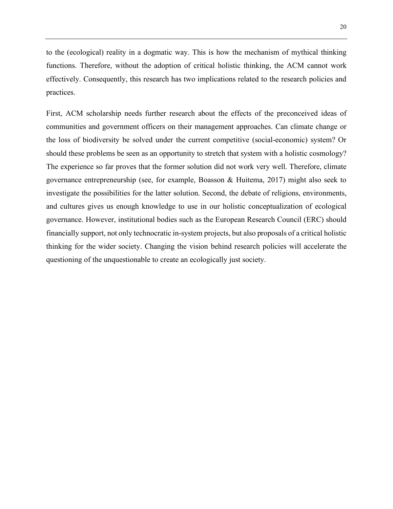to the (ecological) reality in a dogmatic way. This is how the mechanism of mythical thinking functions. Therefore, without the adoption of critical holistic thinking, the ACM cannot work effectively. Consequently, this research has two implications related to the research policies and practices.

First, ACM scholarship needs further research about the effects of the preconceived ideas of communities and government officers on their management approaches. Can climate change or the loss of biodiversity be solved under the current competitive (social-economic) system? Or should these problems be seen as an opportunity to stretch that system with a holistic cosmology? The experience so far proves that the former solution did not work very well. Therefore, climate governance entrepreneurship (see, for example, Boasson & Huitema, 2017) might also seek to investigate the possibilities for the latter solution. Second, the debate of religions, environments, and cultures gives us enough knowledge to use in our holistic conceptualization of ecological governance. However, institutional bodies such as the European Research Council (ERC) should financially support, not only technocratic in-system projects, but also proposals of a critical holistic thinking for the wider society. Changing the vision behind research policies will accelerate the questioning of the unquestionable to create an ecologically just society.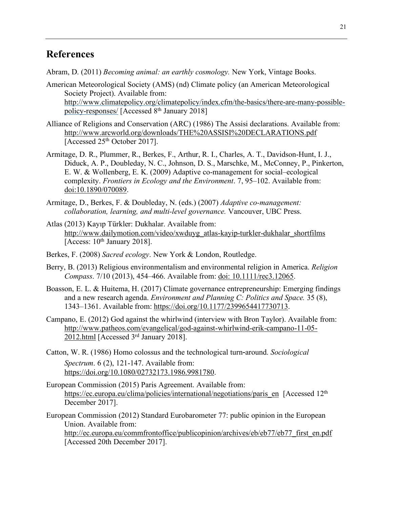## **References**

Abram, D. (2011) *Becoming animal: an earthly cosmology.* New York, Vintage Books.

- American Meteorological Society (AMS) (nd) Climate policy (an American Meteorological Society Project). Available from: http://www.climatepolicy.org/climatepolicy/index.cfm/the-basics/there-are-many-possiblepolicy-responses/ [Accessed 8th January 2018]
- Alliance of Religions and Conservation (ARC) (1986) The Assisi declarations. Available from: http://www.arcworld.org/downloads/THE%20ASSISI%20DECLARATIONS.pdf [Accessed 25<sup>th</sup> October 2017].
- Armitage, D. R., Plummer, R., Berkes, F., Arthur, R. I., Charles, A. T., Davidson-Hunt, I. J., Diduck, A. P., Doubleday, N. C., Johnson, D. S., Marschke, M., McConney, P., Pinkerton, E. W. & Wollenberg, E. K. (2009) Adaptive co-management for social–ecological complexity. *Frontiers in Ecology and the Environment*. 7, 95–102. Available from: doi:10.1890/070089.
- Armitage, D., Berkes, F. & Doubleday, N. (eds.) (2007) *Adaptive co-management: collaboration, learning, and multi-level governance.* Vancouver, UBC Press.
- Atlas (2013) Kayıp Türkler: Dukhalar. Available from: http://www.dailymotion.com/video/xwduyg\_atlas-kayip-turkler-dukhalar\_shortfilms [Access:  $10^{th}$  January 2018].
- Berkes, F. (2008) *Sacred ecology*. New York & London, Routledge.
- Berry, B. (2013) Religious environmentalism and environmental religion in America. *Religion Compass*. 7/10 (2013), 454–466. Available from: doi: 10.1111/rec3.12065.
- Boasson, E. L. & Huitema, H. (2017) Climate governance entrepreneurship: Emerging findings and a new research agenda. *Environment and Planning C: Politics and Space.* 35 (8), 1343–1361. Available from: https://doi.org/10.1177/2399654417730713.
- Campano, E. (2012) God against the whirlwind (interview with Bron Taylor). Available from: http://www.patheos.com/evangelical/god-against-whirlwind-erik-campano-11-05- 2012.html [Accessed 3rd January 2018].
- Catton, W. R. (1986) Homo colossus and the technological turn‐around. *Sociological Spectrum*. 6 (2), 121-147. Available from: https://doi.org/10.1080/02732173.1986.9981780.
- European Commission (2015) Paris Agreement. Available from: https://ec.europa.eu/clima/policies/international/negotiations/paris en [Accessed 12<sup>th</sup>] December 2017].
- European Commission (2012) Standard Eurobarometer 77: public opinion in the European Union. Available from:

http://ec.europa.eu/commfrontoffice/publicopinion/archives/eb/eb77/eb77\_first\_en.pdf [Accessed 20th December 2017].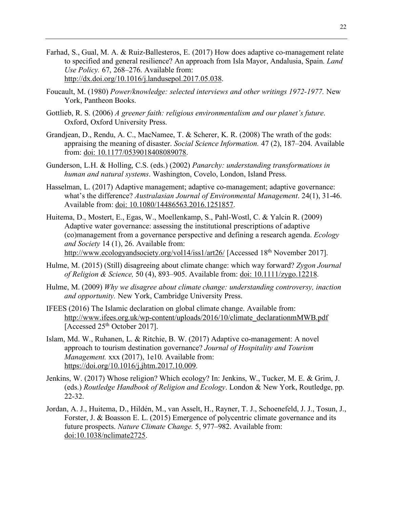- Farhad, S., Gual, M. A. & Ruiz-Ballesteros, E. (2017) How does adaptive co-management relate to specified and general resilience? An approach from Isla Mayor, Andalusia, Spain. *Land Use Policy.* 67, 268–276. Available from: http://dx.doi.org/10.1016/j.landusepol.2017.05.038.
- Foucault, M. (1980) *Power/knowledge: selected interviews and other writings 1972-1977.* New York, Pantheon Books.
- Gottlieb, R. S. (2006) *A greener faith: religious environmentalism and our planet's future*. Oxford, Oxford University Press.
- Grandjean, D., Rendu, A. C., MacNamee, T. & Scherer, K. R. (2008) The wrath of the gods: appraising the meaning of disaster. *Social Science Information.* 47 (2), 187–204. Available from: doi: 10.1177/0539018408089078.
- Gunderson, L.H. & Holling, C.S. (eds.) (2002) *Panarchy: understanding transformations in human and natural systems*. Washington, Covelo, London, Island Press.
- Hasselman, L. (2017) Adaptive management; adaptive co-management; adaptive governance: what's the difference? *Australasian Journal of Environmental Management*. 24(1), 31-46. Available from: doi: 10.1080/14486563.2016.1251857.
- Huitema, D., Mostert, E., Egas, W., Moellenkamp, S., Pahl-Wostl, C. & Yalcin R. (2009) Adaptive water governance: assessing the institutional prescriptions of adaptive (co)management from a governance perspective and defining a research agenda. *Ecology and Society* 14 (1), 26. Available from: http://www.ecologyandsociety.org/vol14/iss1/art26/ [Accessed 18<sup>th</sup> November 2017].
- Hulme, M. (2015) (Still) disagreeing about climate change: which way forward? *Zygon Journal of Religion & Science,* 50 (4), 893–905. Available from: doi: 10.1111/zygo.12218.
- Hulme, M. (2009) *Why we disagree about climate change: understanding controversy, inaction and opportunity.* New York, Cambridge University Press.
- IFEES (2016) The Islamic declaration on global climate change. Available from: http://www.ifees.org.uk/wp-content/uploads/2016/10/climate\_declarationmMWB.pdf [Accessed 25th October 2017].
- Islam, Md. W., Ruhanen, L. & Ritchie, B. W. (2017) Adaptive co-management: A novel approach to tourism destination governance? *Journal of Hospitality and Tourism Management.* xxx (2017), 1e10. Available from: https://doi.org/10.1016/j.jhtm.2017.10.009.
- Jenkins, W. (2017) Whose religion? Which ecology? In: Jenkins, W., Tucker, M. E. & Grim, J. (eds.) *Routledge Handbook of Religion and Ecology*. London & New York, Routledge, pp. 22-32.
- Jordan, A. J., Huitema, D., Hildén, M., van Asselt, H., Rayner, T. J., Schoenefeld, J. J., Tosun, J., Forster, J. & Boasson E. L. (2015) Emergence of polycentric climate governance and its future prospects. *Nature Climate Change.* 5, 977–982. Available from: doi:10.1038/nclimate2725.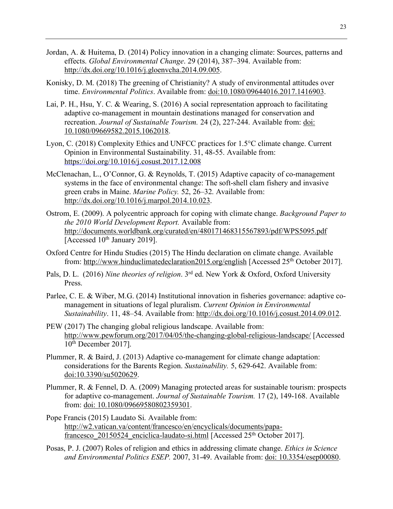- Jordan, A. & Huitema, D. (2014) Policy innovation in a changing climate: Sources, patterns and effects. *Global Environmental Change*. 29 (2014), 387–394. Available from: http://dx.doi.org/10.1016/j.gloenvcha.2014.09.005.
- Konisky, D. M. (2018) The greening of Christianity? A study of environmental attitudes over time. *Environmental Politics*. Available from: doi:10.1080/09644016.2017.1416903.
- Lai, P. H., Hsu, Y. C. & Wearing, S. (2016) A social representation approach to facilitating adaptive co-management in mountain destinations managed for conservation and recreation. *Journal of Sustainable Tourism.* 24 (2), 227-244. Available from: doi: 10.1080/09669582.2015.1062018.
- Lyon, C. (2018) Complexity Ethics and UNFCC practices for 1.5°C climate change. Current Opinion in Environmental Sustainability. 31, 48-55. Available from: https://doi.org/10.1016/j.cosust.2017.12.008
- McClenachan, L., O'Connor, G. & Reynolds, T. (2015) Adaptive capacity of co-management systems in the face of environmental change: The soft-shell clam fishery and invasive green crabs in Maine. *Marine Policy.* 52, 26–32. Available from: http://dx.doi.org/10.1016/j.marpol.2014.10.023.
- Ostrom, E. (2009). A polycentric approach for coping with climate change. *Background Paper to the 2010 World Development Report.* Available from: http://documents.worldbank.org/curated/en/480171468315567893/pdf/WPS5095.pdf [Accessed 10<sup>th</sup> January 2019].
- Oxford Centre for Hindu Studies (2015) The Hindu declaration on climate change. Available from: http://www.hinduclimatedeclaration2015.org/english [Accessed 25<sup>th</sup> October 2017].
- Pals, D. L. (2016) *Nine theories of religion*. 3rd ed. New York & Oxford, Oxford University Press.
- Parlee, C. E. & Wiber, M.G. (2014) Institutional innovation in fisheries governance: adaptive comanagement in situations of legal pluralism. *Current Opinion in Environmental Sustainability*. 11, 48–54. Available from: http://dx.doi.org/10.1016/j.cosust.2014.09.012.
- PEW (2017) The changing global religious landscape. Available from: http://www.pewforum.org/2017/04/05/the-changing-global-religious-landscape/ [Accessed 10<sup>th</sup> December 2017].
- Plummer, R. & Baird, J. (2013) Adaptive co-management for climate change adaptation: considerations for the Barents Region. *Sustainability.* 5, 629-642. Available from: doi:10.3390/su5020629.
- Plummer, R. & Fennel, D. A. (2009) Managing protected areas for sustainable tourism: prospects for adaptive co-management. *Journal of Sustainable Tourism.* 17 (2), 149-168. Available from: doi: 10.1080/09669580802359301.
- Pope Francis (2015) Laudato Si. Available from: http://w2.vatican.va/content/francesco/en/encyclicals/documents/papafrancesco 20150524 enciclica-laudato-si.html [Accessed 25<sup>th</sup> October 2017].
- Posas, P. J. (2007) Roles of religion and ethics in addressing climate change. *Ethics in Science and Environmental Politics ESEP.* 2007, 31-49. Available from: doi: 10.3354/esep00080.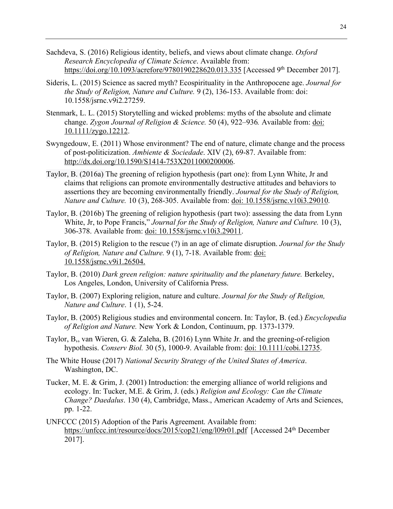- Sachdeva, S. (2016) Religious identity, beliefs, and views about climate change. *Oxford Research Encyclopedia of Climate Science*. Available from: https://doi.org/10.1093/acrefore/9780190228620.013.335 [Accessed 9<sup>th</sup> December 2017].
- Sideris, L. (2015) Science as sacred myth? Ecospirituality in the Anthropocene age. *Journal for the Study of Religion, Nature and Culture.* 9 (2), 136-153. Available from: doi: 10.1558/jsrnc.v9i2.27259.
- Stenmark, L. L. (2015) Storytelling and wicked problems: myths of the absolute and climate change. *Zygon Journal of Religion & Science.* 50 (4), 922–936*.* Available from: doi: 10.1111/zygo.12212.
- Swyngedouw, E. (2011) Whose environment? The end of nature, climate change and the process of post-politicization. *Ambiente & Sociedade*. XIV (2), 69-87. Available from: http://dx.doi.org/10.1590/S1414-753X2011000200006.
- Taylor, B. (2016a) The greening of religion hypothesis (part one): from Lynn White, Jr and claims that religions can promote environmentally destructive attitudes and behaviors to assertions they are becoming environmentally friendly. *Journal for the Study of Religion, Nature and Culture.* 10 (3), 268-305. Available from: doi: 10.1558/jsrnc.v10i3.29010.
- Taylor, B. (2016b) The greening of religion hypothesis (part two): assessing the data from Lynn White, Jr, to Pope Francis," *Journal for the Study of Religion, Nature and Culture.* 10 (3), 306-378. Available from: doi: 10.1558/jsrnc.v10i3.29011.
- Taylor, B. (2015) Religion to the rescue (?) in an age of climate disruption. *Journal for the Study of Religion, Nature and Culture.* 9 (1), 7-18. Available from: doi: 10.1558/jsrnc.v9i1.26504.
- Taylor, B. (2010) *Dark green religion: nature spirituality and the planetary future.* Berkeley, Los Angeles, London, University of California Press.
- Taylor, B. (2007) Exploring religion, nature and culture. *Journal for the Study of Religion, Nature and Culture*. 1 (1), 5-24.
- Taylor, B. (2005) Religious studies and environmental concern. In: Taylor, B. (ed.) *Encyclopedia of Religion and Nature.* New York & London, Continuum, pp. 1373-1379.
- Taylor, B,, van Wieren, G. & Zaleha, B. (2016) Lynn White Jr. and the greening-of-religion hypothesis. *Conserv Biol.* 30 (5), 1000-9. Available from: doi: 10.1111/cobi.12735.
- The White House (2017) *National Security Strategy of the United States of America*. Washington, DC.
- Tucker, M. E. & Grim, J. (2001) Introduction: the emerging alliance of world religions and ecology. In: Tucker, M.E. & Grim, J. (eds.) *Religion and Ecology: Can the Climate Change? Daedalus*. 130 (4), Cambridge, Mass., American Academy of Arts and Sciences, pp. 1-22.
- UNFCCC (2015) Adoption of the Paris Agreement. Available from: https://unfccc.int/resource/docs/2015/cop21/eng/l09r01.pdf [Accessed 24<sup>th</sup> December 2017].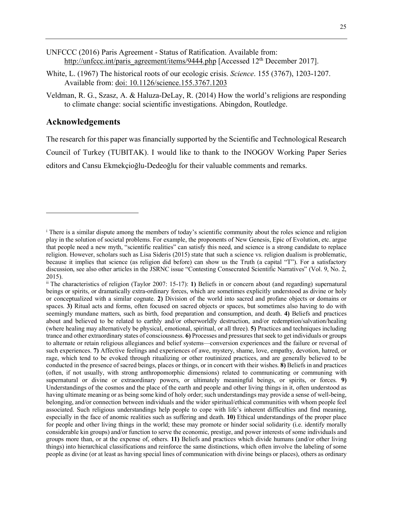UNFCCC (2016) Paris Agreement - Status of Ratification. Available from: http://unfccc.int/paris\_agreement/items/9444.php [Accessed 12<sup>th</sup> December 2017].

- White, L. (1967) The historical roots of our ecologic crisis. *Science*. 155 (3767), 1203-1207. Available from: doi: 10.1126/science.155.3767.1203
- Veldman, R. G., Szasz, A. & Haluza-DeLay, R. (2014) How the world's religions are responding to climate change: social scientific investigations. Abingdon, Routledge.

#### **Acknowledgements**

 $\overline{a}$ 

The research for this paper was financially supported by the Scientific and Technological Research Council of Turkey (TUBITAK). I would like to thank to the INOGOV Working Paper Series editors and Cansu Ekmekçioğlu-Dedeoğlu for their valuable comments and remarks.

<sup>i</sup> There is a similar dispute among the members of today's scientific community about the roles science and religion play in the solution of societal problems. For example, the proponents of New Genesis, Epic of Evolution, etc. argue that people need a new myth, "scientific realities" can satisfy this need, and science is a strong candidate to replace religion. However, scholars such as Lisa Sideris (2015) state that such a science vs. religion dualism is problematic, because it implies that science (as religion did before) can show us the Truth (a capital "T"). For a satisfactory discussion, see also other articles in the JSRNC issue "Contesting Consecrated Scientific Narratives" (Vol. 9, No. 2, 2015).

ii The characteristics of religion (Taylor 2007: 15-17): **1)** Beliefs in or concern about (and regarding) supernatural beings or spirits, or dramatically extra-ordinary forces, which are sometimes explicitly understood as divine or holy or conceptualized with a similar cognate. **2)** Division of the world into sacred and profane objects or domains or spaces. **3)** Ritual acts and forms, often focused on sacred objects or spaces, but sometimes also having to do with seemingly mundane matters, such as birth, food preparation and consumption, and death. **4)** Beliefs and practices about and believed to be related to earthly and/or otherworldly destruction, and/or redemption/salvation/healing (where healing may alternatively be physical, emotional, spiritual, or all three). **5)** Practices and techniques including trance and other extraordinary states of consciousness. **6)** Processes and pressures that seek to get individuals or groups to alternate or retain religious allegiances and belief systems—conversion experiences and the failure or reversal of such experiences. **7)** Affective feelings and experiences of awe, mystery, shame, love, empathy, devotion, hatred, or rage, which tend to be evoked through ritualizing or other routinized practices, and are generally believed to be conducted in the presence of sacred beings, places or things, or in concert with their wishes. **8)** Beliefs in and practices (often, if not usually, with strong anthropomorphic dimensions) related to communicating or communing with supernatural or divine or extraordinary powers, or ultimately meaningful beings, or spirits, or forces. **9)** Understandings of the cosmos and the place of the earth and people and other living things in it, often understood as having ultimate meaning or as being some kind of holy order; such understandings may provide a sense of well-being, belonging, and/or connection between individuals and the wider spiritual/ethical communities with whom people feel associated. Such religious understandings help people to cope with life's inherent difficulties and find meaning, especially in the face of anomic realities such as suffering and death. **10)** Ethical understandings of the proper place for people and other living things in the world; these may promote or hinder social solidarity (i.e. identify morally considerable kin groups) and/or function to serve the economic, prestige, and power interests of some individuals and groups more than, or at the expense of, others. **11)** Beliefs and practices which divide humans (and/or other living things) into hierarchical classifications and reinforce the same distinctions, which often involve the labeling of some people as divine (or at least as having special lines of communication with divine beings or places), others as ordinary